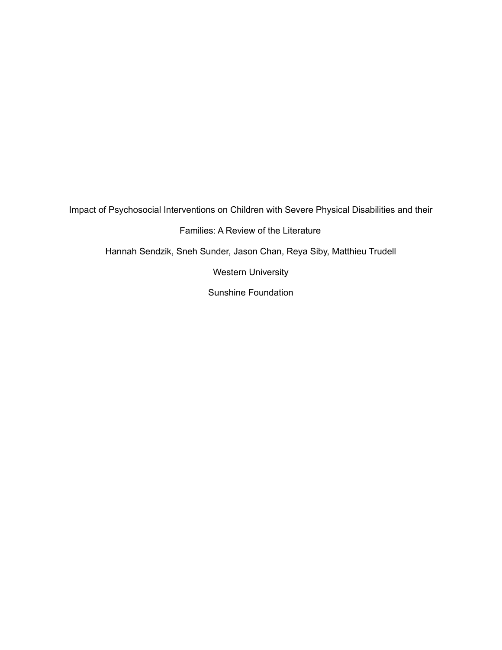Impact of Psychosocial Interventions on Children with Severe Physical Disabilities and their Families: A Review of the Literature Hannah Sendzik, Sneh Sunder, Jason Chan, Reya Siby, Matthieu Trudell Western University Sunshine Foundation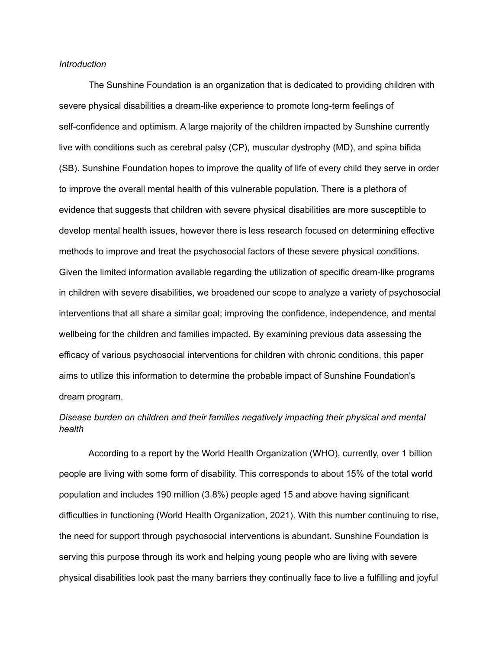## *Introduction*

The Sunshine Foundation is an organization that is dedicated to providing children with severe physical disabilities a dream-like experience to promote long-term feelings of self-confidence and optimism. A large majority of the children impacted by Sunshine currently live with conditions such as cerebral palsy (CP), muscular dystrophy (MD), and spina bifida (SB). Sunshine Foundation hopes to improve the quality of life of every child they serve in order to improve the overall mental health of this vulnerable population. There is a plethora of evidence that suggests that children with severe physical disabilities are more susceptible to develop mental health issues, however there is less research focused on determining effective methods to improve and treat the psychosocial factors of these severe physical conditions. Given the limited information available regarding the utilization of specific dream-like programs in children with severe disabilities, we broadened our scope to analyze a variety of psychosocial interventions that all share a similar goal; improving the confidence, independence, and mental wellbeing for the children and families impacted. By examining previous data assessing the efficacy of various psychosocial interventions for children with chronic conditions, this paper aims to utilize this information to determine the probable impact of Sunshine Foundation's dream program.

# *Disease burden on children and their families negatively impacting their physical and mental health*

According to a report by the World Health Organization (WHO), currently, over 1 billion people are living with some form of disability. This corresponds to about 15% of the total world population and includes 190 million (3.8%) people aged 15 and above having significant difficulties in functioning (World Health Organization, 2021). With this number continuing to rise, the need for support through psychosocial interventions is abundant. Sunshine Foundation is serving this purpose through its work and helping young people who are living with severe physical disabilities look past the many barriers they continually face to live a fulfilling and joyful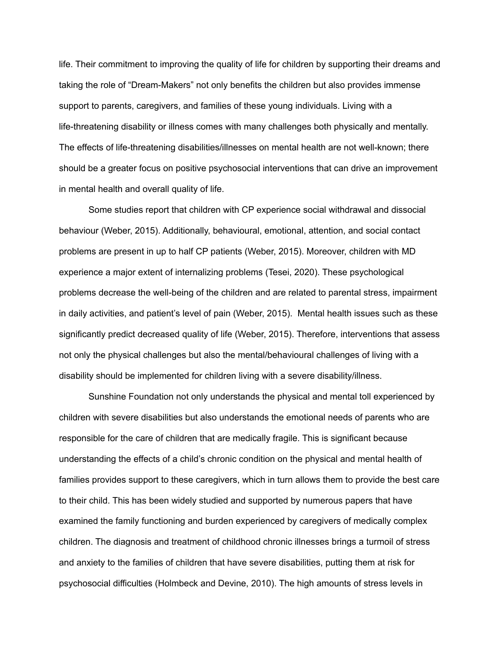life. Their commitment to improving the quality of life for children by supporting their dreams and taking the role of "Dream-Makers" not only benefits the children but also provides immense support to parents, caregivers, and families of these young individuals. Living with a life-threatening disability or illness comes with many challenges both physically and mentally. The effects of life-threatening disabilities/illnesses on mental health are not well-known; there should be a greater focus on positive psychosocial interventions that can drive an improvement in mental health and overall quality of life.

Some studies report that children with CP experience social withdrawal and dissocial behaviour (Weber, 2015). Additionally, behavioural, emotional, attention, and social contact problems are present in up to half CP patients (Weber, 2015). Moreover, children with MD experience a major extent of internalizing problems (Tesei, 2020). These psychological problems decrease the well-being of the children and are related to parental stress, impairment in daily activities, and patient's level of pain (Weber, 2015). Mental health issues such as these significantly predict decreased quality of life (Weber, 2015). Therefore, interventions that assess not only the physical challenges but also the mental/behavioural challenges of living with a disability should be implemented for children living with a severe disability/illness.

Sunshine Foundation not only understands the physical and mental toll experienced by children with severe disabilities but also understands the emotional needs of parents who are responsible for the care of children that are medically fragile. This is significant because understanding the effects of a child's chronic condition on the physical and mental health of families provides support to these caregivers, which in turn allows them to provide the best care to their child. This has been widely studied and supported by numerous papers that have examined the family functioning and burden experienced by caregivers of medically complex children. The diagnosis and treatment of childhood chronic illnesses brings a turmoil of stress and anxiety to the families of children that have severe disabilities, putting them at risk for psychosocial difficulties (Holmbeck and Devine, 2010). The high amounts of stress levels in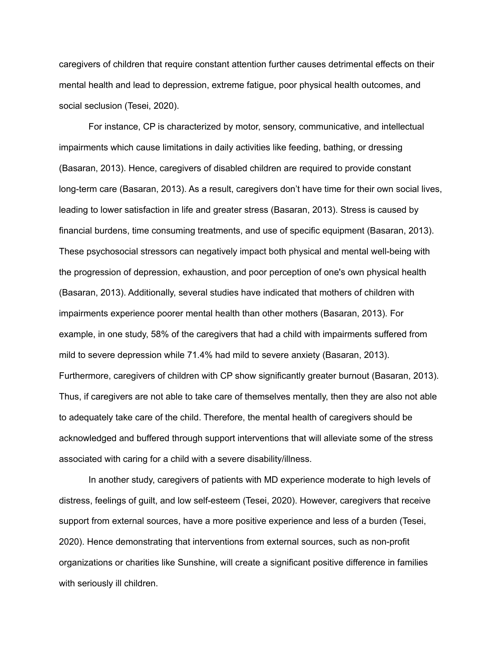caregivers of children that require constant attention further causes detrimental effects on their mental health and lead to depression, extreme fatigue, poor physical health outcomes, and social seclusion (Tesei, 2020).

For instance, CP is characterized by motor, sensory, communicative, and intellectual impairments which cause limitations in daily activities like feeding, bathing, or dressing (Basaran, 2013). Hence, caregivers of disabled children are required to provide constant long-term care (Basaran, 2013). As a result, caregivers don't have time for their own social lives, leading to lower satisfaction in life and greater stress (Basaran, 2013). Stress is caused by financial burdens, time consuming treatments, and use of specific equipment (Basaran, 2013). These psychosocial stressors can negatively impact both physical and mental well-being with the progression of depression, exhaustion, and poor perception of one's own physical health (Basaran, 2013). Additionally, several studies have indicated that mothers of children with impairments experience poorer mental health than other mothers (Basaran, 2013). For example, in one study, 58% of the caregivers that had a child with impairments suffered from mild to severe depression while 71.4% had mild to severe anxiety (Basaran, 2013). Furthermore, caregivers of children with CP show significantly greater burnout (Basaran, 2013). Thus, if caregivers are not able to take care of themselves mentally, then they are also not able to adequately take care of the child. Therefore, the mental health of caregivers should be acknowledged and buffered through support interventions that will alleviate some of the stress associated with caring for a child with a severe disability/illness.

In another study, caregivers of patients with MD experience moderate to high levels of distress, feelings of guilt, and low self-esteem (Tesei, 2020). However, caregivers that receive support from external sources, have a more positive experience and less of a burden (Tesei, 2020). Hence demonstrating that interventions from external sources, such as non-profit organizations or charities like Sunshine, will create a significant positive difference in families with seriously ill children.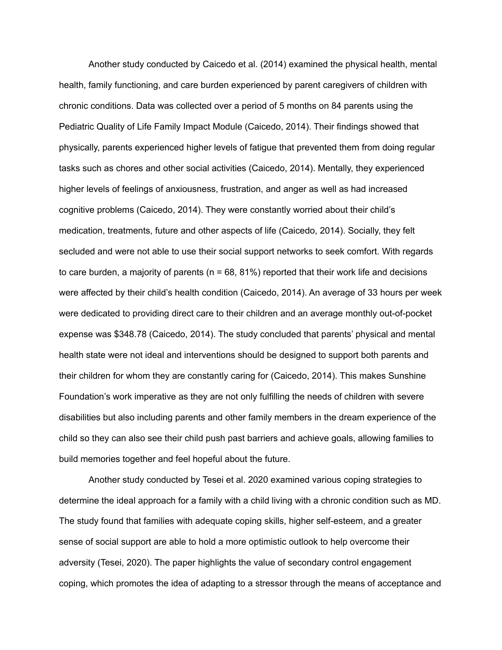Another study conducted by Caicedo et al. (2014) examined the physical health, mental health, family functioning, and care burden experienced by parent caregivers of children with chronic conditions. Data was collected over a period of 5 months on 84 parents using the Pediatric Quality of Life Family Impact Module (Caicedo, 2014). Their findings showed that physically, parents experienced higher levels of fatigue that prevented them from doing regular tasks such as chores and other social activities (Caicedo, 2014). Mentally, they experienced higher levels of feelings of anxiousness, frustration, and anger as well as had increased cognitive problems (Caicedo, 2014). They were constantly worried about their child's medication, treatments, future and other aspects of life (Caicedo, 2014). Socially, they felt secluded and were not able to use their social support networks to seek comfort. With regards to care burden, a majority of parents ( $n = 68, 81\%$ ) reported that their work life and decisions were affected by their child's health condition (Caicedo, 2014). An average of 33 hours per week were dedicated to providing direct care to their children and an average monthly out-of-pocket expense was \$348.78 (Caicedo, 2014). The study concluded that parents' physical and mental health state were not ideal and interventions should be designed to support both parents and their children for whom they are constantly caring for (Caicedo, 2014). This makes Sunshine Foundation's work imperative as they are not only fulfilling the needs of children with severe disabilities but also including parents and other family members in the dream experience of the child so they can also see their child push past barriers and achieve goals, allowing families to build memories together and feel hopeful about the future.

Another study conducted by Tesei et al. 2020 examined various coping strategies to determine the ideal approach for a family with a child living with a chronic condition such as MD. The study found that families with adequate coping skills, higher self-esteem, and a greater sense of social support are able to hold a more optimistic outlook to help overcome their adversity (Tesei, 2020). The paper highlights the value of secondary control engagement coping, which promotes the idea of adapting to a stressor through the means of acceptance and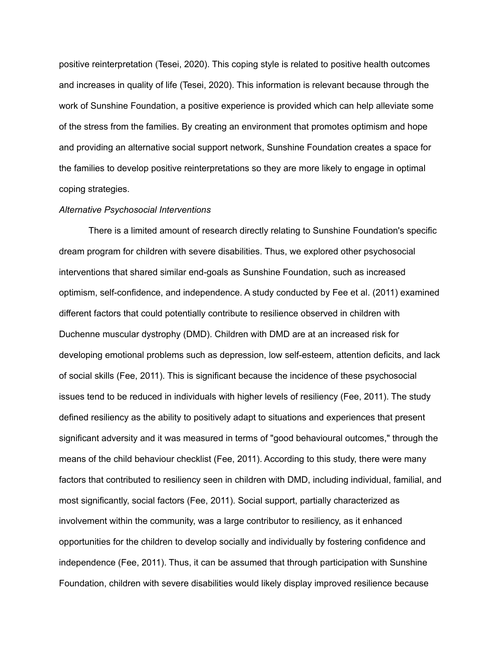positive reinterpretation (Tesei, 2020). This coping style is related to positive health outcomes and increases in quality of life (Tesei, 2020). This information is relevant because through the work of Sunshine Foundation, a positive experience is provided which can help alleviate some of the stress from the families. By creating an environment that promotes optimism and hope and providing an alternative social support network, Sunshine Foundation creates a space for the families to develop positive reinterpretations so they are more likely to engage in optimal coping strategies.

#### *Alternative Psychosocial Interventions*

There is a limited amount of research directly relating to Sunshine Foundation's specific dream program for children with severe disabilities. Thus, we explored other psychosocial interventions that shared similar end-goals as Sunshine Foundation, such as increased optimism, self-confidence, and independence. A study conducted by Fee et al. (2011) examined different factors that could potentially contribute to resilience observed in children with Duchenne muscular dystrophy (DMD). Children with DMD are at an increased risk for developing emotional problems such as depression, low self-esteem, attention deficits, and lack of social skills (Fee, 2011). This is significant because the incidence of these psychosocial issues tend to be reduced in individuals with higher levels of resiliency (Fee, 2011). The study defined resiliency as the ability to positively adapt to situations and experiences that present significant adversity and it was measured in terms of "good behavioural outcomes," through the means of the child behaviour checklist (Fee, 2011). According to this study, there were many factors that contributed to resiliency seen in children with DMD, including individual, familial, and most significantly, social factors (Fee, 2011). Social support, partially characterized as involvement within the community, was a large contributor to resiliency, as it enhanced opportunities for the children to develop socially and individually by fostering confidence and independence (Fee, 2011). Thus, it can be assumed that through participation with Sunshine Foundation, children with severe disabilities would likely display improved resilience because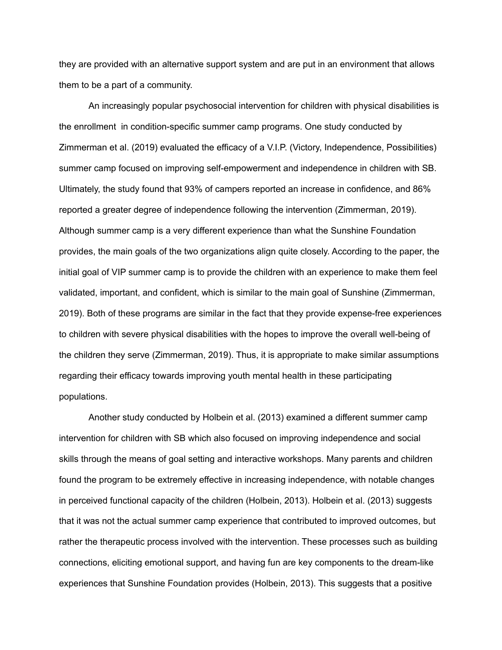they are provided with an alternative support system and are put in an environment that allows them to be a part of a community.

An increasingly popular psychosocial intervention for children with physical disabilities is the enrollment in condition-specific summer camp programs. One study conducted by Zimmerman et al. (2019) evaluated the efficacy of a V.I.P. (Victory, Independence, Possibilities) summer camp focused on improving self-empowerment and independence in children with SB. Ultimately, the study found that 93% of campers reported an increase in confidence, and 86% reported a greater degree of independence following the intervention (Zimmerman, 2019). Although summer camp is a very different experience than what the Sunshine Foundation provides, the main goals of the two organizations align quite closely. According to the paper, the initial goal of VIP summer camp is to provide the children with an experience to make them feel validated, important, and confident, which is similar to the main goal of Sunshine (Zimmerman, 2019). Both of these programs are similar in the fact that they provide expense-free experiences to children with severe physical disabilities with the hopes to improve the overall well-being of the children they serve (Zimmerman, 2019). Thus, it is appropriate to make similar assumptions regarding their efficacy towards improving youth mental health in these participating populations.

Another study conducted by Holbein et al. (2013) examined a different summer camp intervention for children with SB which also focused on improving independence and social skills through the means of goal setting and interactive workshops. Many parents and children found the program to be extremely effective in increasing independence, with notable changes in perceived functional capacity of the children (Holbein, 2013). Holbein et al. (2013) suggests that it was not the actual summer camp experience that contributed to improved outcomes, but rather the therapeutic process involved with the intervention. These processes such as building connections, eliciting emotional support, and having fun are key components to the dream-like experiences that Sunshine Foundation provides (Holbein, 2013). This suggests that a positive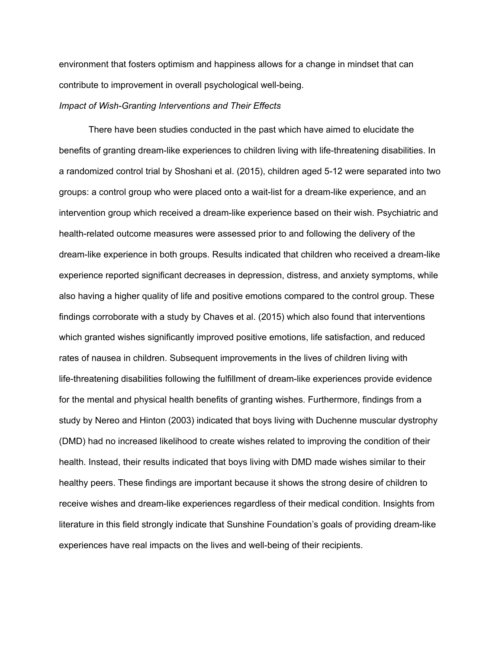environment that fosters optimism and happiness allows for a change in mindset that can contribute to improvement in overall psychological well-being.

### *Impact of Wish-Granting Interventions and Their Effects*

There have been studies conducted in the past which have aimed to elucidate the benefits of granting dream-like experiences to children living with life-threatening disabilities. In a randomized control trial by Shoshani et al. (2015), children aged 5-12 were separated into two groups: a control group who were placed onto a wait-list for a dream-like experience, and an intervention group which received a dream-like experience based on their wish. Psychiatric and health-related outcome measures were assessed prior to and following the delivery of the dream-like experience in both groups. Results indicated that children who received a dream-like experience reported significant decreases in depression, distress, and anxiety symptoms, while also having a higher quality of life and positive emotions compared to the control group. These findings corroborate with a study by Chaves et al. (2015) which also found that interventions which granted wishes significantly improved positive emotions, life satisfaction, and reduced rates of nausea in children. Subsequent improvements in the lives of children living with life-threatening disabilities following the fulfillment of dream-like experiences provide evidence for the mental and physical health benefits of granting wishes. Furthermore, findings from a study by Nereo and Hinton (2003) indicated that boys living with Duchenne muscular dystrophy (DMD) had no increased likelihood to create wishes related to improving the condition of their health. Instead, their results indicated that boys living with DMD made wishes similar to their healthy peers. These findings are important because it shows the strong desire of children to receive wishes and dream-like experiences regardless of their medical condition. Insights from literature in this field strongly indicate that Sunshine Foundation's goals of providing dream-like experiences have real impacts on the lives and well-being of their recipients.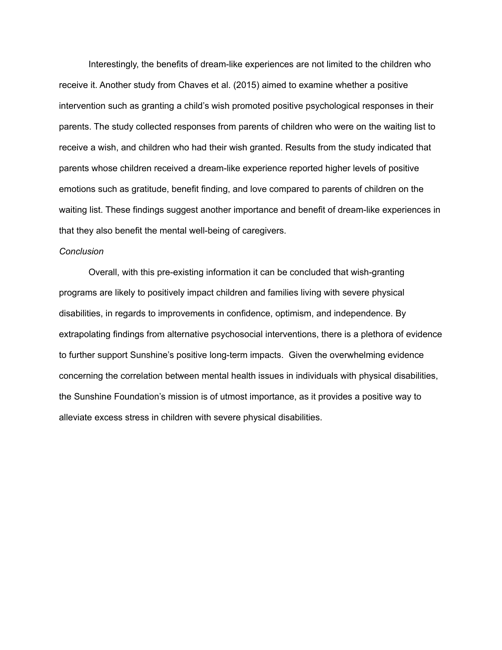Interestingly, the benefits of dream-like experiences are not limited to the children who receive it. Another study from Chaves et al. (2015) aimed to examine whether a positive intervention such as granting a child's wish promoted positive psychological responses in their parents. The study collected responses from parents of children who were on the waiting list to receive a wish, and children who had their wish granted. Results from the study indicated that parents whose children received a dream-like experience reported higher levels of positive emotions such as gratitude, benefit finding, and love compared to parents of children on the waiting list. These findings suggest another importance and benefit of dream-like experiences in that they also benefit the mental well-being of caregivers.

#### *Conclusion*

Overall, with this pre-existing information it can be concluded that wish-granting programs are likely to positively impact children and families living with severe physical disabilities, in regards to improvements in confidence, optimism, and independence. By extrapolating findings from alternative psychosocial interventions, there is a plethora of evidence to further support Sunshine's positive long-term impacts. Given the overwhelming evidence concerning the correlation between mental health issues in individuals with physical disabilities, the Sunshine Foundation's mission is of utmost importance, as it provides a positive way to alleviate excess stress in children with severe physical disabilities.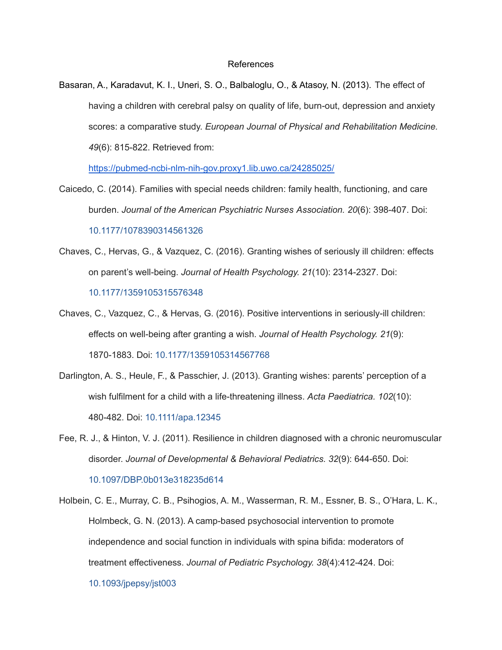## References

Basaran, A., Karadavut, K. I., Uneri, S. O., Balbaloglu, O., & Atasoy, N. (2013). The effect of having a children with cerebral palsy on quality of life, burn-out, depression and anxiety scores: a comparative study. *European Journal of Physical and Rehabilitation Medicine. 49*(6): 815-822. Retrieved from:

<https://pubmed-ncbi-nlm-nih-gov.proxy1.lib.uwo.ca/24285025/>

- Caicedo, C. (2014). Families with special needs children: family health, functioning, and care burden. *Journal of the American Psychiatric Nurses Association. 20*(6): 398-407. Doi: [10.1177/1078390314561326](https://doi-org.proxy1.lib.uwo.ca/10.1177/1078390314561326)
- Chaves, C., Hervas, G., & Vazquez, C. (2016). Granting wishes of seriously ill children: effects on parent's well-being. *Journal of Health Psychology. 21*(10): 2314-2327. Doi: [10.1177/1359105315576348](https://doi-org.proxy1.lib.uwo.ca/10.1177/1359105315576348)
- Chaves, C., Vazquez, C., & Hervas, G. (2016). Positive interventions in seriously-ill children: effects on well-being after granting a wish. *Journal of Health Psychology. 21*(9): 1870-1883. Doi: [10.1177/1359105314567768](https://doi-org.proxy1.lib.uwo.ca/10.1177/1359105314567768)
- Darlington, A. S., Heule, F., & Passchier, J. (2013). Granting wishes: parents' perception of a wish fulfilment for a child with a life-threatening illness. *Acta Paediatrica. 102*(10): 480-482. Doi: [10.1111/apa.12345](https://doi-org.proxy1.lib.uwo.ca/10.1111/apa.12345)
- Fee, R. J., & Hinton, V. J. (2011). Resilience in children diagnosed with a chronic neuromuscular disorder. *Journal of Developmental & Behavioral Pediatrics. 32*(9): 644-650. Doi: [10.1097/DBP.0b013e318235d614](https://doi-org.proxy1.lib.uwo.ca/10.1097/dbp.0b013e318235d614)
- Holbein, C. E., Murray, C. B., Psihogios, A. M., Wasserman, R. M., Essner, B. S., O'Hara, L. K., Holmbeck, G. N. (2013). A camp-based psychosocial intervention to promote independence and social function in individuals with spina bifida: moderators of treatment effectiveness. *Journal of Pediatric Psychology. 38*(4):412-424. Doi:

[10.1093/jpepsy/jst003](https://doi-org.proxy1.lib.uwo.ca/10.1093/jpepsy/jst003)